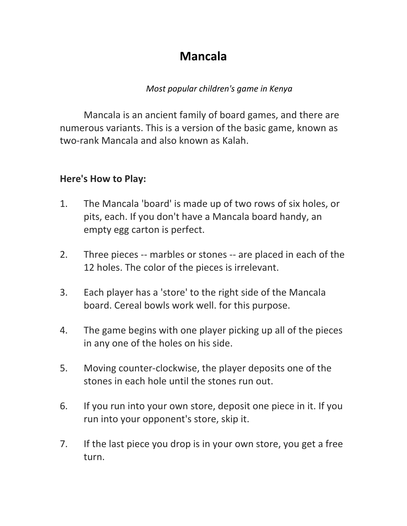# **Mancala**

# *Most popular children's game in Kenya*

Mancala is an ancient family of board games, and there are numerous variants. This is a version of the basic game, known as two-rank Mancala and also known as Kalah.

# **Here's How to Play:**

- 1. The Mancala 'board' is made up of two rows of six holes, or pits, each. If you don't have a Mancala board handy, an empty egg carton is perfect.
- 2. Three pieces -- marbles or stones -- are placed in each of the 12 holes. The color of the pieces is irrelevant.
- 3. Each player has a 'store' to the right side of the Mancala board. Cereal bowls work well. for this purpose.
- 4. The game begins with one player picking up all of the pieces in any one of the holes on his side.
- 5. Moving counter-clockwise, the player deposits one of the stones in each hole until the stones run out.
- 6. If you run into your own store, deposit one piece in it. If you run into your opponent's store, skip it.
- 7. If the last piece you drop is in your own store, you get a free turn.